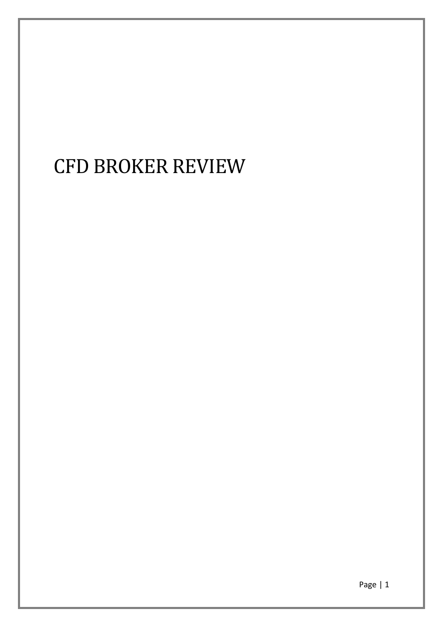# CFD BROKER REVIEW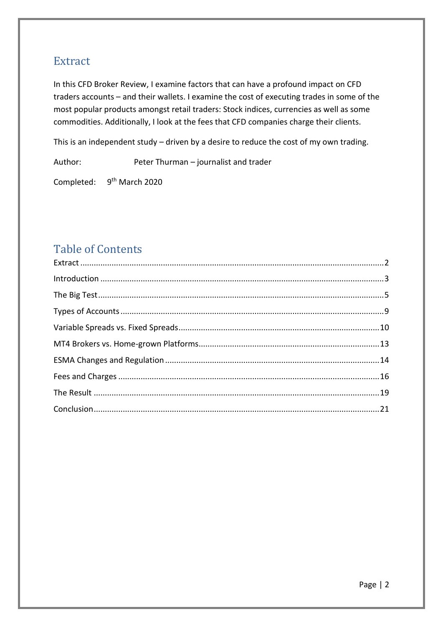# <span id="page-1-0"></span>**Extract**

In this CFD Broker Review, I examine factors that can have a profound impact on CFD traders accounts – and their wallets. I examine the cost of executing trades in some of the most popular products amongst retail traders: Stock indices, currencies as well as some commodities. Additionally, I look at the fees that CFD companies charge their clients.

This is an independent study – driven by a desire to reduce the cost of my own trading.

Author: Peter Thurman – journalist and trader

Completed: 9<sup>th</sup> March 2020

# Table of Contents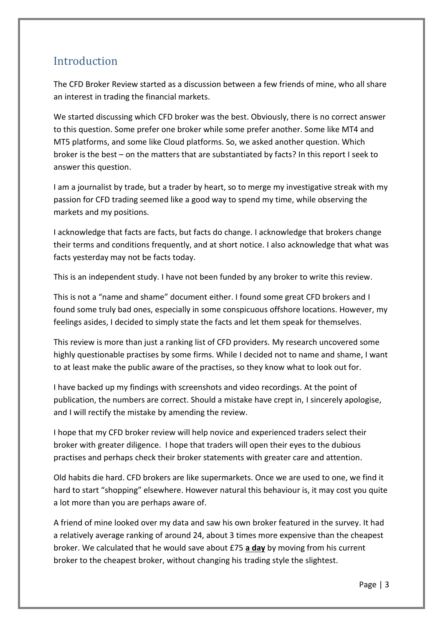# <span id="page-2-0"></span>**Introduction**

The CFD Broker Review started as a discussion between a few friends of mine, who all share an interest in trading the financial markets.

We started discussing which CFD broker was the best. Obviously, there is no correct answer to this question. Some prefer one broker while some prefer another. Some like MT4 and MT5 platforms, and some like Cloud platforms. So, we asked another question. Which broker is the best – on the matters that are substantiated by facts? In this report I seek to answer this question.

I am a journalist by trade, but a trader by heart, so to merge my investigative streak with my passion for CFD trading seemed like a good way to spend my time, while observing the markets and my positions.

I acknowledge that facts are facts, but facts do change. I acknowledge that brokers change their terms and conditions frequently, and at short notice. I also acknowledge that what was facts yesterday may not be facts today.

This is an independent study. I have not been funded by any broker to write this review.

This is not a "name and shame" document either. I found some great CFD brokers and I found some truly bad ones, especially in some conspicuous offshore locations. However, my feelings asides, I decided to simply state the facts and let them speak for themselves.

This review is more than just a ranking list of CFD providers. My research uncovered some highly questionable practises by some firms. While I decided not to name and shame, I want to at least make the public aware of the practises, so they know what to look out for.

I have backed up my findings with screenshots and video recordings. At the point of publication, the numbers are correct. Should a mistake have crept in, I sincerely apologise, and I will rectify the mistake by amending the review.

I hope that my CFD broker review will help novice and experienced traders select their broker with greater diligence. I hope that traders will open their eyes to the dubious practises and perhaps check their broker statements with greater care and attention.

Old habits die hard. CFD brokers are like supermarkets. Once we are used to one, we find it hard to start "shopping" elsewhere. However natural this behaviour is, it may cost you quite a lot more than you are perhaps aware of.

A friend of mine looked over my data and saw his own broker featured in the survey. It had a relatively average ranking of around 24, about 3 times more expensive than the cheapest broker. We calculated that he would save about £75 **a day** by moving from his current broker to the cheapest broker, without changing his trading style the slightest.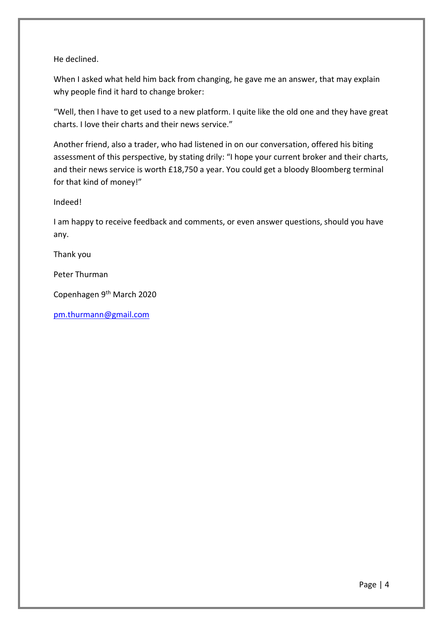## He declined.

When I asked what held him back from changing, he gave me an answer, that may explain why people find it hard to change broker:

"Well, then I have to get used to a new platform. I quite like the old one and they have great charts. I love their charts and their news service."

Another friend, also a trader, who had listened in on our conversation, offered his biting assessment of this perspective, by stating drily: "I hope your current broker and their charts, and their news service is worth £18,750 a year. You could get a bloody Bloomberg terminal for that kind of money!"

Indeed!

I am happy to receive feedback and comments, or even answer questions, should you have any.

Thank you

Peter Thurman

Copenhagen 9<sup>th</sup> March 2020

[pm.thurmann@gmail.com](mailto:pm.thurmann@gmail.com)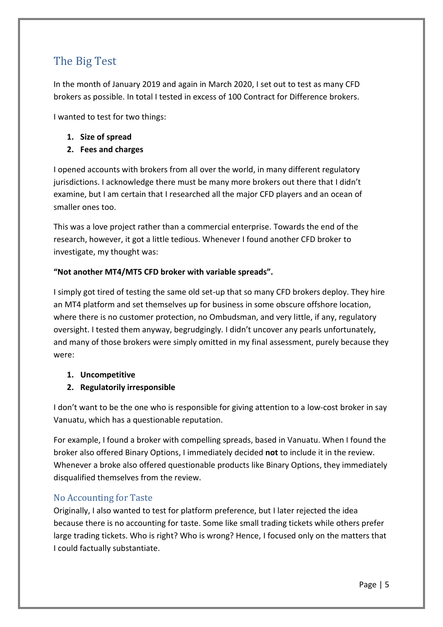# <span id="page-4-0"></span>The Big Test

In the month of January 2019 and again in March 2020, I set out to test as many CFD brokers as possible. In total I tested in excess of 100 Contract for Difference brokers.

I wanted to test for two things:

- **1. Size of spread**
- **2. Fees and charges**

I opened accounts with brokers from all over the world, in many different regulatory jurisdictions. I acknowledge there must be many more brokers out there that I didn't examine, but I am certain that I researched all the major CFD players and an ocean of smaller ones too.

This was a love project rather than a commercial enterprise. Towards the end of the research, however, it got a little tedious. Whenever I found another CFD broker to investigate, my thought was:

## **"Not another MT4/MT5 CFD broker with variable spreads".**

I simply got tired of testing the same old set-up that so many CFD brokers deploy. They hire an MT4 platform and set themselves up for business in some obscure offshore location, where there is no customer protection, no Ombudsman, and very little, if any, regulatory oversight. I tested them anyway, begrudgingly. I didn't uncover any pearls unfortunately, and many of those brokers were simply omitted in my final assessment, purely because they were:

## **1. Uncompetitive**

**2. Regulatorily irresponsible**

I don't want to be the one who is responsible for giving attention to a low-cost broker in say Vanuatu, which has a questionable reputation.

For example, I found a broker with compelling spreads, based in Vanuatu. When I found the broker also offered Binary Options, I immediately decided **not** to include it in the review. Whenever a broke also offered questionable products like Binary Options, they immediately disqualified themselves from the review.

# No Accounting for Taste

Originally, I also wanted to test for platform preference, but I later rejected the idea because there is no accounting for taste. Some like small trading tickets while others prefer large trading tickets. Who is right? Who is wrong? Hence, I focused only on the matters that I could factually substantiate.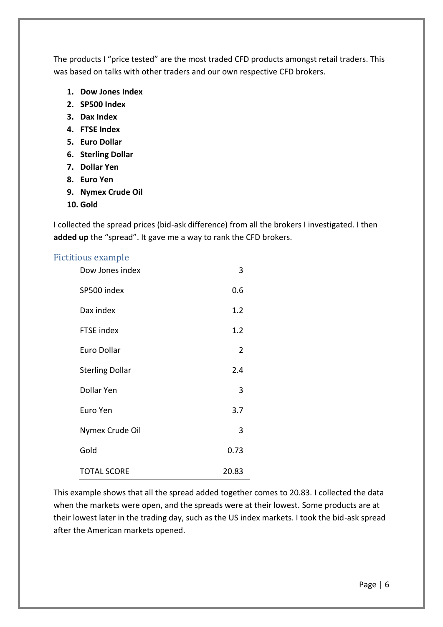The products I "price tested" are the most traded CFD products amongst retail traders. This was based on talks with other traders and our own respective CFD brokers.

- **1. Dow Jones Index**
- **2. SP500 Index**
- **3. Dax Index**
- **4. FTSE Index**
- **5. Euro Dollar**
- **6. Sterling Dollar**
- **7. Dollar Yen**
- **8. Euro Yen**
- **9. Nymex Crude Oil**
- **10. Gold**

I collected the spread prices (bid-ask difference) from all the brokers I investigated. I then **added up** the "spread". It gave me a way to rank the CFD brokers.

#### Fictitious example

| Dow Jones index        | 3     |
|------------------------|-------|
| SP500 index            | 0.6   |
| Dax index              | 1.2   |
| <b>FTSE index</b>      | 1.2   |
| Euro Dollar            | 2     |
| <b>Sterling Dollar</b> | 2.4   |
| Dollar Yen             | 3     |
| Euro Yen               | 3.7   |
| Nymex Crude Oil        | 3     |
| Gold                   | 0.73  |
| <b>TOTAL SCORE</b>     | 20.83 |

This example shows that all the spread added together comes to 20.83. I collected the data when the markets were open, and the spreads were at their lowest. Some products are at their lowest later in the trading day, such as the US index markets. I took the bid-ask spread after the American markets opened.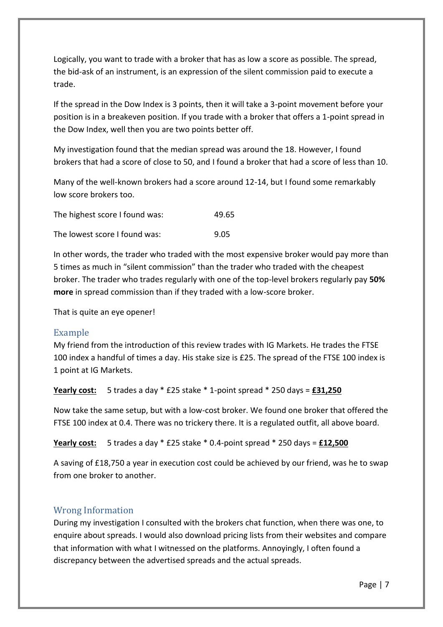Logically, you want to trade with a broker that has as low a score as possible. The spread, the bid-ask of an instrument, is an expression of the silent commission paid to execute a trade.

If the spread in the Dow Index is 3 points, then it will take a 3-point movement before your position is in a breakeven position. If you trade with a broker that offers a 1-point spread in the Dow Index, well then you are two points better off.

My investigation found that the median spread was around the 18. However, I found brokers that had a score of close to 50, and I found a broker that had a score of less than 10.

Many of the well-known brokers had a score around 12-14, but I found some remarkably low score brokers too.

| The highest score I found was: | 49.65 |
|--------------------------------|-------|
| The lowest score I found was:  | 9.05  |

In other words, the trader who traded with the most expensive broker would pay more than 5 times as much in "silent commission" than the trader who traded with the cheapest broker. The trader who trades regularly with one of the top-level brokers regularly pay **50% more** in spread commission than if they traded with a low-score broker.

That is quite an eye opener!

## Example

My friend from the introduction of this review trades with IG Markets. He trades the FTSE 100 index a handful of times a day. His stake size is £25. The spread of the FTSE 100 index is 1 point at IG Markets.

**Yearly cost:** 5 trades a day \* £25 stake \* 1-point spread \* 250 days = **£31,250**

Now take the same setup, but with a low-cost broker. We found one broker that offered the FTSE 100 index at 0.4. There was no trickery there. It is a regulated outfit, all above board.

**Yearly cost:** 5 trades a day \* £25 stake \* 0.4-point spread \* 250 days = **£12,500**

A saving of £18,750 a year in execution cost could be achieved by our friend, was he to swap from one broker to another.

## Wrong Information

During my investigation I consulted with the brokers chat function, when there was one, to enquire about spreads. I would also download pricing lists from their websites and compare that information with what I witnessed on the platforms. Annoyingly, I often found a discrepancy between the advertised spreads and the actual spreads.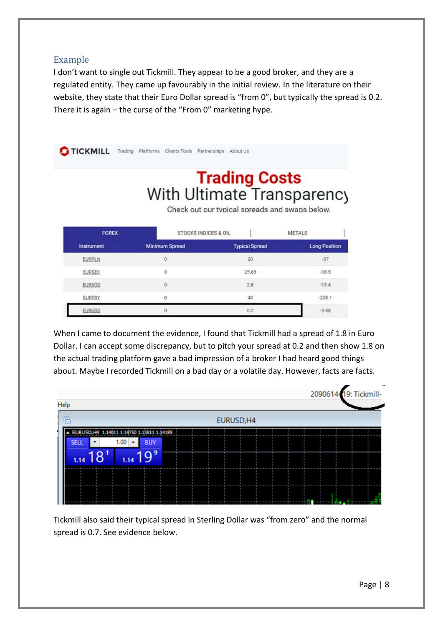# Example

I don't want to single out Tickmill. They appear to be a good broker, and they are a regulated entity. They came up favourably in the initial review. In the literature on their website, they state that their Euro Dollar spread is "from 0", but typically the spread is 0.2. There it is again – the curse of the "From 0" marketing hype.



| <b>FOREX</b>  | STOCKS INDICES & OIL  |                       | <b>METALS</b>        |
|---------------|-----------------------|-----------------------|----------------------|
| Instrument    | <b>Minimum Spread</b> | <b>Typical Spread</b> | <b>Long Position</b> |
| <b>EURPLN</b> | 0                     | 20                    | $-37$                |
| <b>EURSEK</b> | 0                     | 25.65                 | $-38.5$              |
| <b>EURSGD</b> | $\circ$               | 2.8                   | $-13.4$              |
| <b>EURTRY</b> | O                     | 40                    | $-208.1$             |
| <b>EURUSD</b> | o                     | 0.2                   | $-9.88$              |

When I came to document the evidence, I found that Tickmill had a spread of 1.8 in Euro Dollar. I can accept some discrepancy, but to pitch your spread at 0.2 and then show 1.8 on the actual trading platform gave a bad impression of a broker I had heard good things about. Maybe I recorded Tickmill on a bad day or a volatile day. However, facts are facts.

| Help                                   |                                                                                             |            |  | 2090614419: Tickmill- |
|----------------------------------------|---------------------------------------------------------------------------------------------|------------|--|-----------------------|
| 渦                                      |                                                                                             | EURUSD, H4 |  |                       |
| <b>SELL</b><br>18 <sup>1</sup><br>1.14 | EURUSD, H4 1.14011 1.14750 1.13811 1.14189<br>1.00<br><b>BUY</b><br>10 <sup>9</sup><br>1.14 |            |  |                       |
|                                        |                                                                                             |            |  |                       |

Tickmill also said their typical spread in Sterling Dollar was "from zero" and the normal spread is 0.7. See evidence below.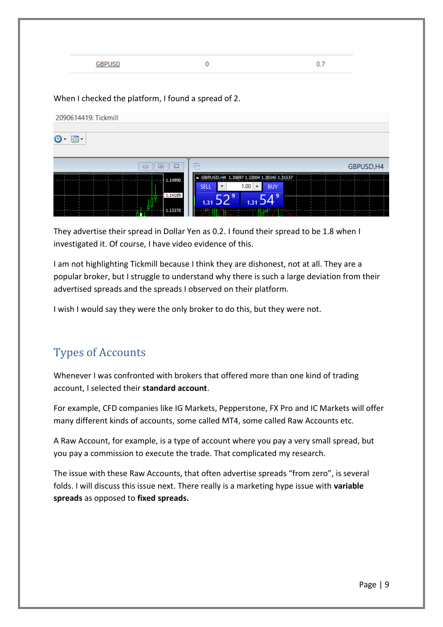#### When I checked the platform, I found a spread of 2.

| 2090614419: Tickmill                  |                                                                                                                                                                                   |
|---------------------------------------|-----------------------------------------------------------------------------------------------------------------------------------------------------------------------------------|
| 突⊦                                    |                                                                                                                                                                                   |
| $\Sigma$<br>▣<br>$\qquad \qquad \Box$ | 喎<br>GBPUSD, H4                                                                                                                                                                   |
| $-1.14990$<br>1.14189<br>1.13370      | GBPUSD, H4 1.30697 1.32004 1.30345 1.31537<br>1.00<br><b>SELL</b><br><b>BUY</b><br>$\overline{\phantom{a}}$<br>$\blacktriangle$<br>$\overline{9}$<br>9<br>----<br>$1.31-$<br>1.31 |

They advertise their spread in Dollar Yen as 0.2. I found their spread to be 1.8 when I investigated it. Of course, I have video evidence of this.

I am not highlighting Tickmill because I think they are dishonest, not at all. They are a popular broker, but I struggle to understand why there is such a large deviation from their advertised spreads and the spreads I observed on their platform.

I wish I would say they were the only broker to do this, but they were not.

# <span id="page-8-0"></span>Types of Accounts

Whenever I was confronted with brokers that offered more than one kind of trading account, I selected their **standard account**.

For example, CFD companies like IG Markets, Pepperstone, FX Pro and IC Markets will offer many different kinds of accounts, some called MT4, some called Raw Accounts etc.

A Raw Account, for example, is a type of account where you pay a very small spread, but you pay a commission to execute the trade. That complicated my research.

The issue with these Raw Accounts, that often advertise spreads "from zero", is several folds. I will discuss this issue next. There really is a marketing hype issue with **variable spreads** as opposed to **fixed spreads.**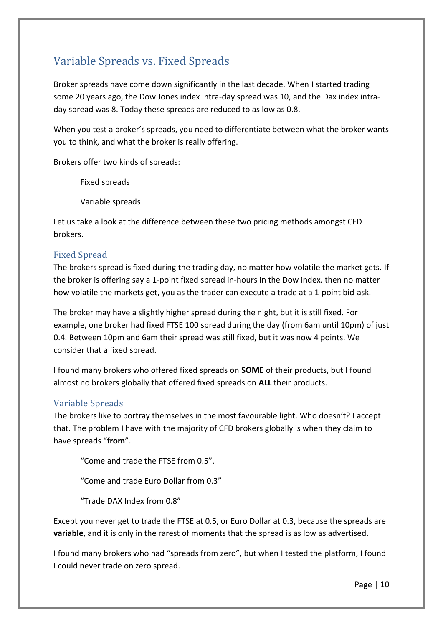# <span id="page-9-0"></span>Variable Spreads vs. Fixed Spreads

Broker spreads have come down significantly in the last decade. When I started trading some 20 years ago, the Dow Jones index intra-day spread was 10, and the Dax index intraday spread was 8. Today these spreads are reduced to as low as 0.8.

When you test a broker's spreads, you need to differentiate between what the broker wants you to think, and what the broker is really offering.

Brokers offer two kinds of spreads:

Fixed spreads

Variable spreads

Let us take a look at the difference between these two pricing methods amongst CFD brokers.

## Fixed Spread

The brokers spread is fixed during the trading day, no matter how volatile the market gets. If the broker is offering say a 1-point fixed spread in-hours in the Dow index, then no matter how volatile the markets get, you as the trader can execute a trade at a 1-point bid-ask.

The broker may have a slightly higher spread during the night, but it is still fixed. For example, one broker had fixed FTSE 100 spread during the day (from 6am until 10pm) of just 0.4. Between 10pm and 6am their spread was still fixed, but it was now 4 points. We consider that a fixed spread.

I found many brokers who offered fixed spreads on **SOME** of their products, but I found almost no brokers globally that offered fixed spreads on **ALL** their products.

# Variable Spreads

The brokers like to portray themselves in the most favourable light. Who doesn't? I accept that. The problem I have with the majority of CFD brokers globally is when they claim to have spreads "**from**".

"Come and trade the FTSE from 0.5".

"Come and trade Euro Dollar from 0.3"

"Trade DAX Index from 0.8"

Except you never get to trade the FTSE at 0.5, or Euro Dollar at 0.3, because the spreads are **variable**, and it is only in the rarest of moments that the spread is as low as advertised.

I found many brokers who had "spreads from zero", but when I tested the platform, I found I could never trade on zero spread.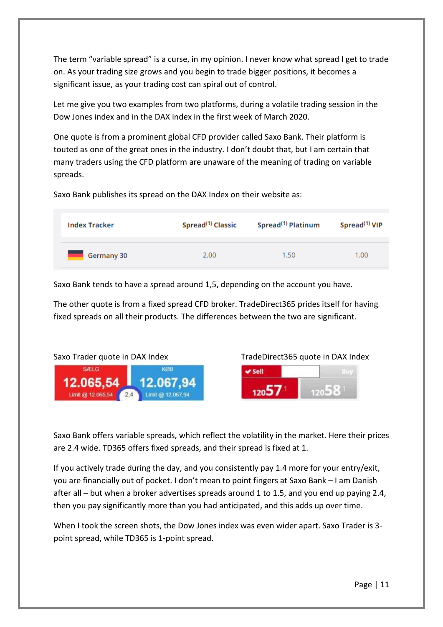The term "variable spread" is a curse, in my opinion. I never know what spread I get to trade on. As your trading size grows and you begin to trade bigger positions, it becomes a significant issue, as your trading cost can spiral out of control.

Let me give you two examples from two platforms, during a volatile trading session in the Dow Jones index and in the DAX index in the first week of March 2020.

One quote is from a prominent global CFD provider called Saxo Bank. Their platform is touted as one of the great ones in the industry. I don't doubt that, but I am certain that many traders using the CFD platform are unaware of the meaning of trading on variable spreads.

Saxo Bank publishes its spread on the DAX Index on their website as:

| Index Tracker | Spread <sup>(1)</sup> Classic | Spread <sup>(1)</sup> Platinum | Spread <sup>(1)</sup> VIP |
|---------------|-------------------------------|--------------------------------|---------------------------|
| Germany 30    | 2.00                          | 1.50                           | 1.00                      |

Saxo Bank tends to have a spread around 1,5, depending on the account you have.

The other quote is from a fixed spread CFD broker. TradeDirect365 prides itself for having fixed spreads on all their products. The differences between the two are significant.



Saxo Bank offers variable spreads, which reflect the volatility in the market. Here their prices are 2.4 wide. TD365 offers fixed spreads, and their spread is fixed at 1.

If you actively trade during the day, and you consistently pay 1.4 more for your entry/exit, you are financially out of pocket. I don't mean to point fingers at Saxo Bank – I am Danish after all – but when a broker advertises spreads around 1 to 1.5, and you end up paying 2.4, then you pay significantly more than you had anticipated, and this adds up over time.

When I took the screen shots, the Dow Jones index was even wider apart. Saxo Trader is 3 point spread, while TD365 is 1-point spread.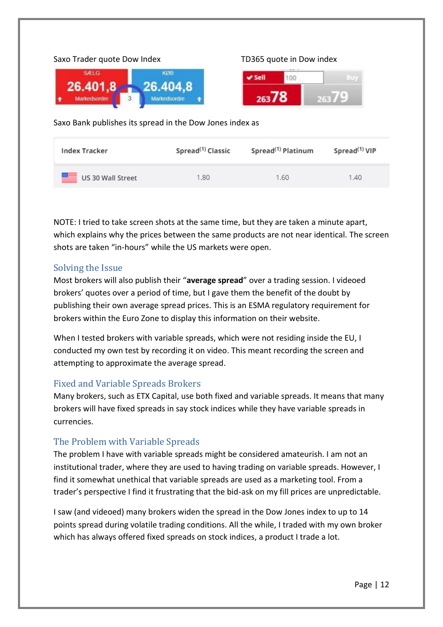## Saxo Trader quote Dow Index TD365 quote in Dow index SÆLG KØB **√** Sell 26.401 26  $263/8$ Saxo Bank publishes its spread in the Dow Jones index as **Index Tracker** Spread<sup>(1)</sup> Classic Spread<sup>(1)</sup> Platinum Spread<sup>(1)</sup> VIP

NOTE: I tried to take screen shots at the same time, but they are taken a minute apart, which explains why the prices between the same products are not near identical. The screen shots are taken "in-hours" while the US markets were open.

1.60

1.40

1.80

# Solving the Issue

**US 30 Wall Street** 

Most brokers will also publish their "**average spread**" over a trading session. I videoed brokers' quotes over a period of time, but I gave them the benefit of the doubt by publishing their own average spread prices. This is an ESMA regulatory requirement for brokers within the Euro Zone to display this information on their website.

When I tested brokers with variable spreads, which were not residing inside the EU, I conducted my own test by recording it on video. This meant recording the screen and attempting to approximate the average spread.

# Fixed and Variable Spreads Brokers

Many brokers, such as ETX Capital, use both fixed and variable spreads. It means that many brokers will have fixed spreads in say stock indices while they have variable spreads in currencies.

# The Problem with Variable Spreads

The problem I have with variable spreads might be considered amateurish. I am not an institutional trader, where they are used to having trading on variable spreads. However, I find it somewhat unethical that variable spreads are used as a marketing tool. From a trader's perspective I find it frustrating that the bid-ask on my fill prices are unpredictable.

I saw (and videoed) many brokers widen the spread in the Dow Jones index to up to 14 points spread during volatile trading conditions. All the while, I traded with my own broker which has always offered fixed spreads on stock indices, a product I trade a lot.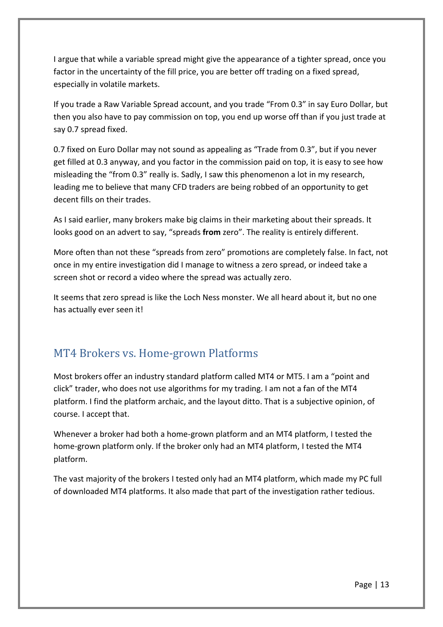I argue that while a variable spread might give the appearance of a tighter spread, once you factor in the uncertainty of the fill price, you are better off trading on a fixed spread, especially in volatile markets.

If you trade a Raw Variable Spread account, and you trade "From 0.3" in say Euro Dollar, but then you also have to pay commission on top, you end up worse off than if you just trade at say 0.7 spread fixed.

0.7 fixed on Euro Dollar may not sound as appealing as "Trade from 0.3", but if you never get filled at 0.3 anyway, and you factor in the commission paid on top, it is easy to see how misleading the "from 0.3" really is. Sadly, I saw this phenomenon a lot in my research, leading me to believe that many CFD traders are being robbed of an opportunity to get decent fills on their trades.

As I said earlier, many brokers make big claims in their marketing about their spreads. It looks good on an advert to say, "spreads **from** zero". The reality is entirely different.

More often than not these "spreads from zero" promotions are completely false. In fact, not once in my entire investigation did I manage to witness a zero spread, or indeed take a screen shot or record a video where the spread was actually zero.

It seems that zero spread is like the Loch Ness monster. We all heard about it, but no one has actually ever seen it!

# <span id="page-12-0"></span>MT4 Brokers vs. Home-grown Platforms

Most brokers offer an industry standard platform called MT4 or MT5. I am a "point and click" trader, who does not use algorithms for my trading. I am not a fan of the MT4 platform. I find the platform archaic, and the layout ditto. That is a subjective opinion, of course. I accept that.

Whenever a broker had both a home-grown platform and an MT4 platform, I tested the home-grown platform only. If the broker only had an MT4 platform, I tested the MT4 platform.

The vast majority of the brokers I tested only had an MT4 platform, which made my PC full of downloaded MT4 platforms. It also made that part of the investigation rather tedious.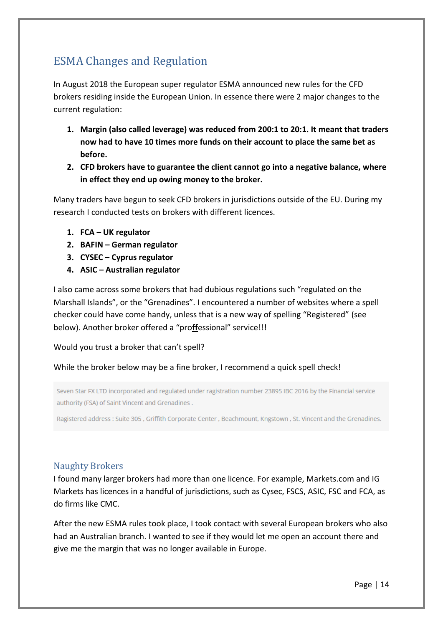# <span id="page-13-0"></span>ESMA Changes and Regulation

In August 2018 the European super regulator ESMA announced new rules for the CFD brokers residing inside the European Union. In essence there were 2 major changes to the current regulation:

- **1. Margin (also called leverage) was reduced from 200:1 to 20:1. It meant that traders now had to have 10 times more funds on their account to place the same bet as before.**
- **2. CFD brokers have to guarantee the client cannot go into a negative balance, where in effect they end up owing money to the broker.**

Many traders have begun to seek CFD brokers in jurisdictions outside of the EU. During my research I conducted tests on brokers with different licences.

- **1. FCA – UK regulator**
- **2. BAFIN – German regulator**
- **3. CYSEC – Cyprus regulator**
- **4. ASIC – Australian regulator**

I also came across some brokers that had dubious regulations such "regulated on the Marshall Islands", or the "Grenadines". I encountered a number of websites where a spell checker could have come handy, unless that is a new way of spelling "Registered" (see below). Another broker offered a "pro**ff**essional" service!!!

## Would you trust a broker that can't spell?

## While the broker below may be a fine broker, I recommend a quick spell check!

Seven Star FX LTD incorporated and regulated under ragistration number 23895 IBC 2016 by the Financial service authority (FSA) of Saint Vincent and Grenadines.

Ragistered address : Suite 305, Griffith Corporate Center, Beachmount, Kngstown, St. Vincent and the Grenadines.

# Naughty Brokers

I found many larger brokers had more than one licence. For example, Markets.com and IG Markets has licences in a handful of jurisdictions, such as Cysec, FSCS, ASIC, FSC and FCA, as do firms like CMC.

After the new ESMA rules took place, I took contact with several European brokers who also had an Australian branch. I wanted to see if they would let me open an account there and give me the margin that was no longer available in Europe.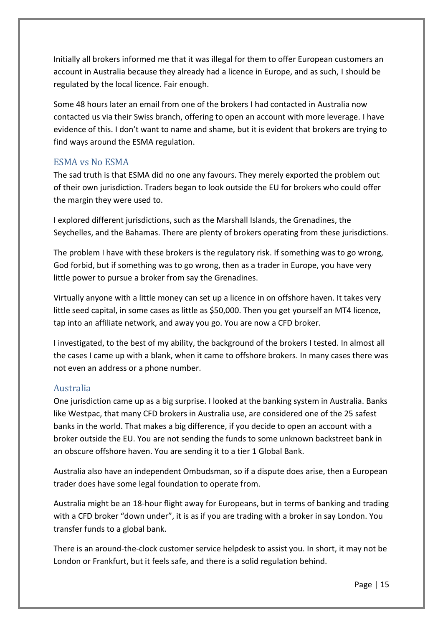Initially all brokers informed me that it was illegal for them to offer European customers an account in Australia because they already had a licence in Europe, and as such, I should be regulated by the local licence. Fair enough.

Some 48 hours later an email from one of the brokers I had contacted in Australia now contacted us via their Swiss branch, offering to open an account with more leverage. I have evidence of this. I don't want to name and shame, but it is evident that brokers are trying to find ways around the ESMA regulation.

## ESMA vs No ESMA

The sad truth is that ESMA did no one any favours. They merely exported the problem out of their own jurisdiction. Traders began to look outside the EU for brokers who could offer the margin they were used to.

I explored different jurisdictions, such as the Marshall Islands, the Grenadines, the Seychelles, and the Bahamas. There are plenty of brokers operating from these jurisdictions.

The problem I have with these brokers is the regulatory risk. If something was to go wrong, God forbid, but if something was to go wrong, then as a trader in Europe, you have very little power to pursue a broker from say the Grenadines.

Virtually anyone with a little money can set up a licence in on offshore haven. It takes very little seed capital, in some cases as little as \$50,000. Then you get yourself an MT4 licence, tap into an affiliate network, and away you go. You are now a CFD broker.

I investigated, to the best of my ability, the background of the brokers I tested. In almost all the cases I came up with a blank, when it came to offshore brokers. In many cases there was not even an address or a phone number.

## Australia

One jurisdiction came up as a big surprise. I looked at the banking system in Australia. Banks like Westpac, that many CFD brokers in Australia use, are considered one of the 25 safest banks in the world. That makes a big difference, if you decide to open an account with a broker outside the EU. You are not sending the funds to some unknown backstreet bank in an obscure offshore haven. You are sending it to a tier 1 Global Bank.

Australia also have an independent Ombudsman, so if a dispute does arise, then a European trader does have some legal foundation to operate from.

Australia might be an 18-hour flight away for Europeans, but in terms of banking and trading with a CFD broker "down under", it is as if you are trading with a broker in say London. You transfer funds to a global bank.

There is an around-the-clock customer service helpdesk to assist you. In short, it may not be London or Frankfurt, but it feels safe, and there is a solid regulation behind.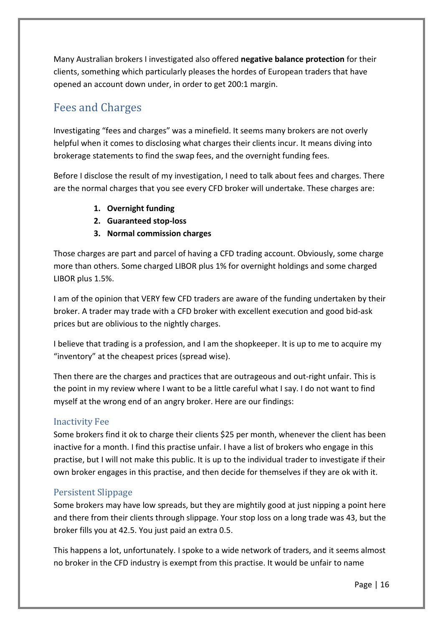Many Australian brokers I investigated also offered **negative balance protection** for their clients, something which particularly pleases the hordes of European traders that have opened an account down under, in order to get 200:1 margin.

# <span id="page-15-0"></span>Fees and Charges

Investigating "fees and charges" was a minefield. It seems many brokers are not overly helpful when it comes to disclosing what charges their clients incur. It means diving into brokerage statements to find the swap fees, and the overnight funding fees.

Before I disclose the result of my investigation, I need to talk about fees and charges. There are the normal charges that you see every CFD broker will undertake. These charges are:

- **1. Overnight funding**
- **2. Guaranteed stop-loss**
- **3. Normal commission charges**

Those charges are part and parcel of having a CFD trading account. Obviously, some charge more than others. Some charged LIBOR plus 1% for overnight holdings and some charged LIBOR plus 1.5%.

I am of the opinion that VERY few CFD traders are aware of the funding undertaken by their broker. A trader may trade with a CFD broker with excellent execution and good bid-ask prices but are oblivious to the nightly charges.

I believe that trading is a profession, and I am the shopkeeper. It is up to me to acquire my "inventory" at the cheapest prices (spread wise).

Then there are the charges and practices that are outrageous and out-right unfair. This is the point in my review where I want to be a little careful what I say. I do not want to find myself at the wrong end of an angry broker. Here are our findings:

# Inactivity Fee

Some brokers find it ok to charge their clients \$25 per month, whenever the client has been inactive for a month. I find this practise unfair. I have a list of brokers who engage in this practise, but I will not make this public. It is up to the individual trader to investigate if their own broker engages in this practise, and then decide for themselves if they are ok with it.

# Persistent Slippage

Some brokers may have low spreads, but they are mightily good at just nipping a point here and there from their clients through slippage. Your stop loss on a long trade was 43, but the broker fills you at 42.5. You just paid an extra 0.5.

This happens a lot, unfortunately. I spoke to a wide network of traders, and it seems almost no broker in the CFD industry is exempt from this practise. It would be unfair to name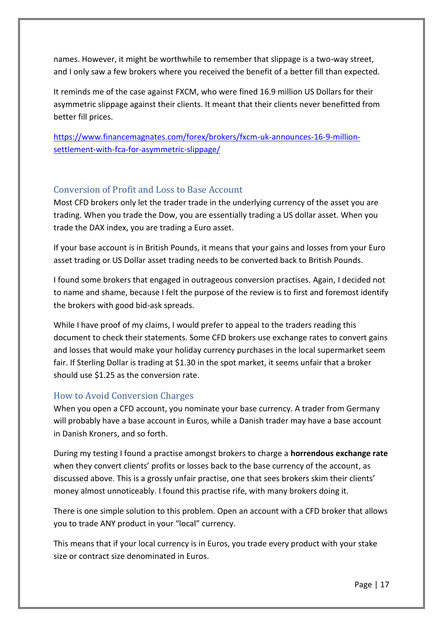names. However, it might be worthwhile to remember that slippage is a two-way street, and I only saw a few brokers where you received the benefit of a better fill than expected.

It reminds me of the case against FXCM, who were fined 16.9 million US Dollars for their asymmetric slippage against their clients. It meant that their clients never benefitted from better fill prices.

[https://www.financemagnates.com/forex/brokers/fxcm-uk-announces-16-9-million](https://www.financemagnates.com/forex/brokers/fxcm-uk-announces-16-9-million-settlement-with-fca-for-asymmetric-slippage/)[settlement-with-fca-for-asymmetric-slippage/](https://www.financemagnates.com/forex/brokers/fxcm-uk-announces-16-9-million-settlement-with-fca-for-asymmetric-slippage/)

# Conversion of Profit and Loss to Base Account

Most CFD brokers only let the trader trade in the underlying currency of the asset you are trading. When you trade the Dow, you are essentially trading a US dollar asset. When you trade the DAX index, you are trading a Euro asset.

If your base account is in British Pounds, it means that your gains and losses from your Euro asset trading or US Dollar asset trading needs to be converted back to British Pounds.

I found some brokers that engaged in outrageous conversion practises. Again, I decided not to name and shame, because I felt the purpose of the review is to first and foremost identify the brokers with good bid-ask spreads.

While I have proof of my claims, I would prefer to appeal to the traders reading this document to check their statements. Some CFD brokers use exchange rates to convert gains and losses that would make your holiday currency purchases in the local supermarket seem fair. If Sterling Dollar is trading at \$1.30 in the spot market, it seems unfair that a broker should use \$1.25 as the conversion rate.

# How to Avoid Conversion Charges

When you open a CFD account, you nominate your base currency. A trader from Germany will probably have a base account in Euros, while a Danish trader may have a base account in Danish Kroners, and so forth.

During my testing I found a practise amongst brokers to charge a **horrendous exchange rate** when they convert clients' profits or losses back to the base currency of the account, as discussed above. This is a grossly unfair practise, one that sees brokers skim their clients' money almost unnoticeably. I found this practise rife, with many brokers doing it.

There is one simple solution to this problem. Open an account with a CFD broker that allows you to trade ANY product in your "local" currency.

This means that if your local currency is in Euros, you trade every product with your stake size or contract size denominated in Euros.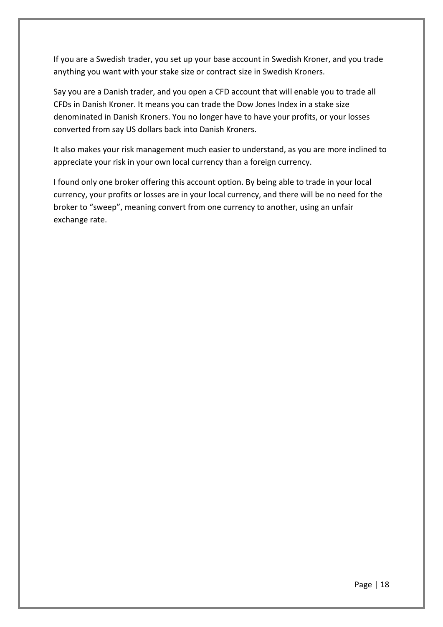If you are a Swedish trader, you set up your base account in Swedish Kroner, and you trade anything you want with your stake size or contract size in Swedish Kroners.

Say you are a Danish trader, and you open a CFD account that will enable you to trade all CFDs in Danish Kroner. It means you can trade the Dow Jones Index in a stake size denominated in Danish Kroners. You no longer have to have your profits, or your losses converted from say US dollars back into Danish Kroners.

It also makes your risk management much easier to understand, as you are more inclined to appreciate your risk in your own local currency than a foreign currency.

I found only one broker offering this account option. By being able to trade in your local currency, your profits or losses are in your local currency, and there will be no need for the broker to "sweep", meaning convert from one currency to another, using an unfair exchange rate.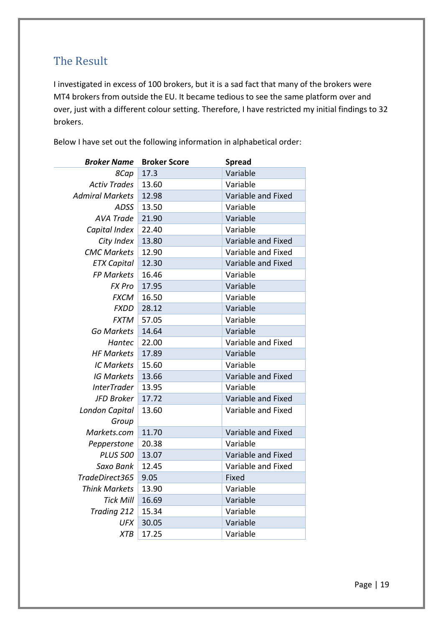# <span id="page-18-0"></span>The Result

I investigated in excess of 100 brokers, but it is a sad fact that many of the brokers were MT4 brokers from outside the EU. It became tedious to see the same platform over and over, just with a different colour setting. Therefore, I have restricted my initial findings to 32 brokers.

Below I have set out the following information in alphabetical order:

| <b>Broker Name</b>     | <b>Broker Score</b> | <b>Spread</b>      |
|------------------------|---------------------|--------------------|
| 8Cap                   | 17.3                | Variable           |
| <b>Activ Trades</b>    | 13.60               | Variable           |
| <b>Admiral Markets</b> | 12.98               | Variable and Fixed |
| <b>ADSS</b>            | 13.50               | Variable           |
| <b>AVA Trade</b>       | 21.90               | Variable           |
| Capital Index          | 22.40               | Variable           |
| City Index             | 13.80               | Variable and Fixed |
| <b>CMC Markets</b>     | 12.90               | Variable and Fixed |
| <b>ETX Capital</b>     | 12.30               | Variable and Fixed |
| <b>FP Markets</b>      | 16.46               | Variable           |
| <b>FX Pro</b>          | 17.95               | Variable           |
| <b>FXCM</b>            | 16.50               | Variable           |
| <b>FXDD</b>            | 28.12               | Variable           |
| <b>FXTM</b>            | 57.05               | Variable           |
| Go Markets             | 14.64               | Variable           |
| Hantec                 | 22.00               | Variable and Fixed |
| <b>HF Markets</b>      | 17.89               | Variable           |
| <b>IC Markets</b>      | 15.60               | Variable           |
| <b>IG Markets</b>      | 13.66               | Variable and Fixed |
| <b>InterTrader</b>     | 13.95               | Variable           |
| JFD Broker             | 17.72               | Variable and Fixed |
| London Capital         | 13.60               | Variable and Fixed |
| Group                  |                     |                    |
| Markets.com            | 11.70               | Variable and Fixed |
| Pepperstone            | 20.38               | Variable           |
| <b>PLUS 500</b>        | 13.07               | Variable and Fixed |
| Saxo Bank              | 12.45               | Variable and Fixed |
| TradeDirect365         | 9.05                | Fixed              |
| <b>Think Markets</b>   | 13.90               | Variable           |
| <b>Tick Mill</b>       | 16.69               | Variable           |
| Trading 212            | 15.34               | Variable           |
| <b>UFX</b>             | 30.05               | Variable           |
| <b>XTB</b>             | 17.25               | Variable           |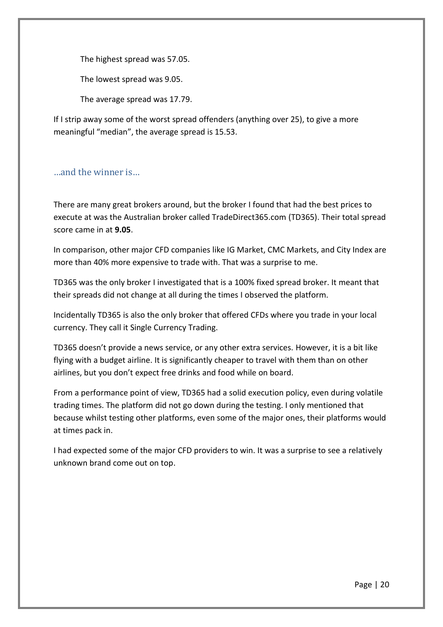The highest spread was 57.05.

The lowest spread was 9.05.

The average spread was 17.79.

If I strip away some of the worst spread offenders (anything over 25), to give a more meaningful "median", the average spread is 15.53.

## …and the winner is…

There are many great brokers around, but the broker I found that had the best prices to execute at was the Australian broker called TradeDirect365.com (TD365). Their total spread score came in at **9.05**.

In comparison, other major CFD companies like IG Market, CMC Markets, and City Index are more than 40% more expensive to trade with. That was a surprise to me.

TD365 was the only broker I investigated that is a 100% fixed spread broker. It meant that their spreads did not change at all during the times I observed the platform.

Incidentally TD365 is also the only broker that offered CFDs where you trade in your local currency. They call it Single Currency Trading.

TD365 doesn't provide a news service, or any other extra services. However, it is a bit like flying with a budget airline. It is significantly cheaper to travel with them than on other airlines, but you don't expect free drinks and food while on board.

From a performance point of view, TD365 had a solid execution policy, even during volatile trading times. The platform did not go down during the testing. I only mentioned that because whilst testing other platforms, even some of the major ones, their platforms would at times pack in.

I had expected some of the major CFD providers to win. It was a surprise to see a relatively unknown brand come out on top.